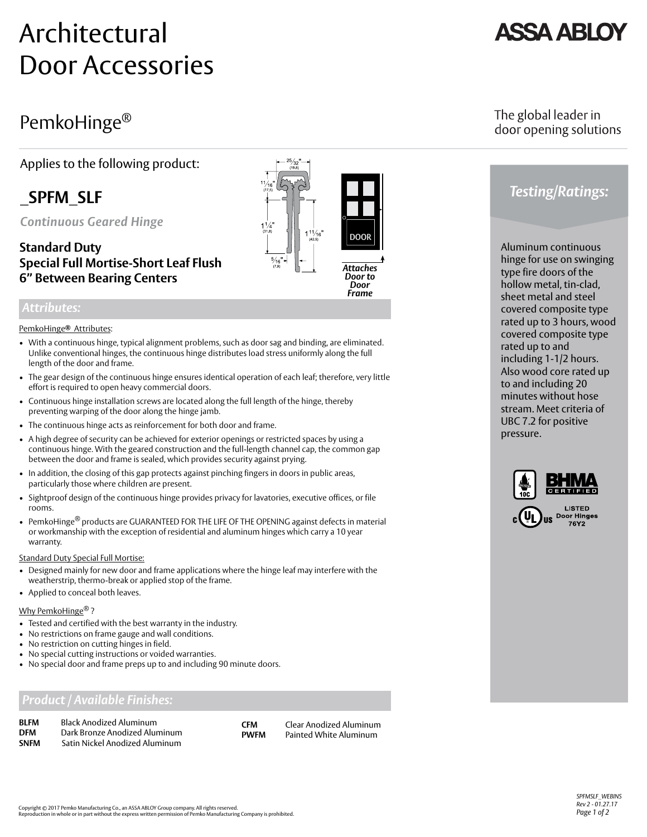# Architectural Door Accessories

# PemkoHinge®

Applies to the following product:

# **\_SPFM\_SLF**

*Continuous Geared Hinge*

## **Standard Duty Special Full Mortise-Short Leaf Flush 6" Between Bearing Centers**

### *Attributes:*

#### PemkoHinge Attributes: *®*

- With a continuous hinge, typical alignment problems, such as door sag and binding, are eliminated. Unlike conventional hinges, the continuous hinge distributes load stress uniformly along the full length of the door and frame.
- The gear design of the continuous hinge ensures identical operation of each leaf; therefore, very little effort is required to open heavy commercial doors.
- Continuous hinge installation screws are located along the full length of the hinge, thereby preventing warping of the door along the hinge jamb.
- The continuous hinge acts as reinforcement for both door and frame.
- A high degree of security can be achieved for exterior openings or restricted spaces by using a continuous hinge. With the geared construction and the full-length channel cap, the common gap between the door and frame is sealed, which provides security against prying.
- In addition, the closing of this gap protects against pinching fingers in doors in public areas, particularly those where children are present.
- Sightproof design of the continuous hinge provides privacy for lavatories, executive offices, or file rooms.
- PemkoHinge<sup>®</sup> products are GUARANTEED FOR THE LIFE OF THE OPENING against defects in material or workmanship with the exception of residential and aluminum hinges which carry a 10 year warranty.

**Standard Duty Special Full Mortise:** 

- Designed mainly for new door and frame applications where the hinge leaf may interfere with the weatherstrip, thermo-break or applied stop of the frame.
- Applied to conceal both leaves.

#### Why PemkoHinge<sup>®</sup>?

- Tested and certified with the best warranty in the industry.
- No restrictions on frame gauge and wall conditions.
- No restriction on cutting hinges in field.
- No special cutting instructions or voided warranties.
- No special door and frame preps up to and including 90 minute doors.

## *Product / Available Finishes:*

| <b>BI FM</b> | <b>Black Anodized Aluminum</b> |
|--------------|--------------------------------|
| <b>DFM</b>   | Dark Bronze Anodized Aluminum  |
| <b>SNFM</b>  | Satin Nickel Anodized Aluminum |

**CFM** Clear Anodized Aluminum<br> **PWFM** Painted White Aluminum **Painted White Aluminum** 

## The global leader in door opening solutions

# *Testing/Ratings:*

Aluminum continuous hinge for use on swinging type fire doors of the hollow metal, tin-clad, sheet metal and steel covered composite type rated up to 3 hours, wood covered composite type rated up to and including 1-1/2 hours. Also wood core rated up to and including 20 minutes without hose stream. Meet criteria of UBC 7.2 for positive pressure.



Copyright © 2017 Pemko Manufacturing Co., an ASSA ABLOY Group company. All rights reserved.<br>Reproduction in whole or in part without the express written permission of Pemko Manufacturing Company is prohibited.